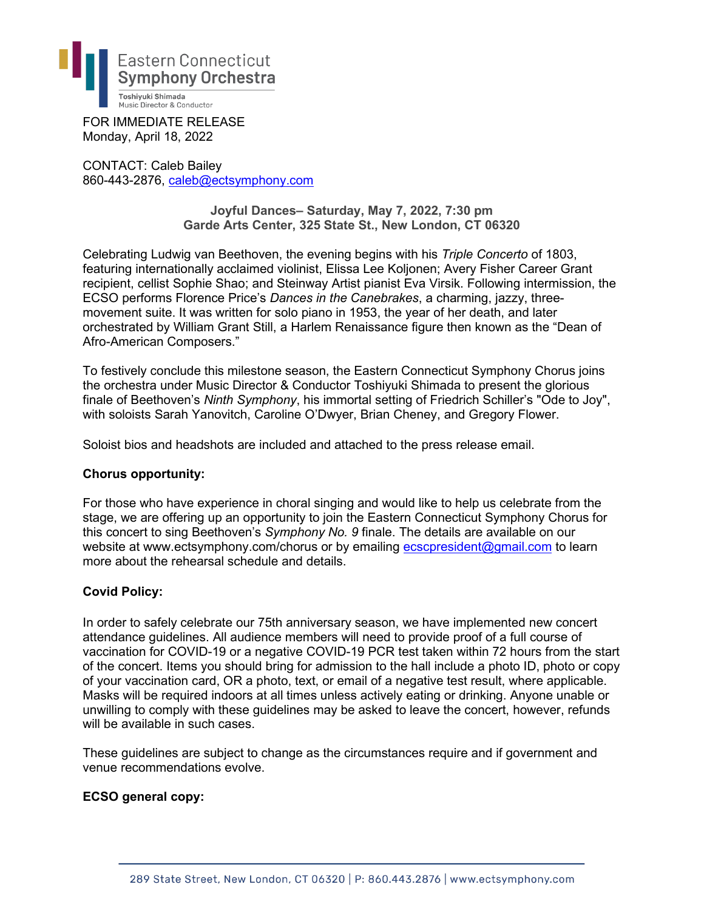

FOR IMMEDIATE RELEASE Monday, April 18, 2022

CONTACT: Caleb Bailey 860-443-2876, [caleb@ectsymphony.com](mailto:caleb@ectsymphony.com)

> **Joyful Dances– Saturday, May 7, 2022, 7:30 pm Garde Arts Center, 325 State St., New London, CT 06320**

Celebrating Ludwig van Beethoven, the evening begins with his *Triple Concerto* of 1803, featuring internationally acclaimed violinist, Elissa Lee Koljonen; Avery Fisher Career Grant recipient, cellist Sophie Shao; and Steinway Artist pianist Eva Virsik. Following intermission, the ECSO performs Florence Price's *Dances in the Canebrakes*, a charming, jazzy, threemovement suite. It was written for solo piano in 1953, the year of her death, and later orchestrated by William Grant Still, a Harlem Renaissance figure then known as the "Dean of Afro-American Composers."

To festively conclude this milestone season, the Eastern Connecticut Symphony Chorus joins the orchestra under Music Director & Conductor Toshiyuki Shimada to present the glorious finale of Beethoven's *Ninth Symphony*, his immortal setting of Friedrich Schiller's "Ode to Joy", with soloists Sarah Yanovitch, Caroline O'Dwyer, Brian Cheney, and Gregory Flower.

Soloist bios and headshots are included and attached to the press release email.

## **Chorus opportunity:**

For those who have experience in choral singing and would like to help us celebrate from the stage, we are offering up an opportunity to join the Eastern Connecticut Symphony Chorus for this concert to sing Beethoven's *Symphony No. 9* finale. The details are available on our website at www.ectsymphony.com/chorus or by emailing [ecscpresident@gmail.com](mailto:ecscpresident@gmail.com) to learn more about the rehearsal schedule and details.

## **Covid Policy:**

In order to safely celebrate our 75th anniversary season, we have implemented new concert attendance guidelines. All audience members will need to provide proof of a full course of vaccination for COVID-19 or a negative COVID-19 PCR test taken within 72 hours from the start of the concert. Items you should bring for admission to the hall include a photo ID, photo or copy of your vaccination card, OR a photo, text, or email of a negative test result, where applicable. Masks will be required indoors at all times unless actively eating or drinking. Anyone unable or unwilling to comply with these guidelines may be asked to leave the concert, however, refunds will be available in such cases.

These guidelines are subject to change as the circumstances require and if government and venue recommendations evolve.

## **ECSO general copy:**